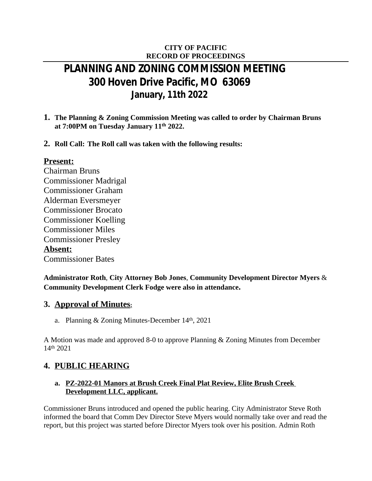## **CITY OF PACIFIC RECORD OF PROCEEDINGS**

# **PLANNING AND ZONING COMMISSION MEETING 300 Hoven Drive Pacific, MO 63069 January, 11th 2022**

- **1. The Planning & Zoning Commission Meeting was called to order by Chairman Bruns at 7:00PM on Tuesday January 11th 2022.**
- **2. Roll Call: The Roll call was taken with the following results:**

## **Present:**

Chairman Bruns Commissioner Madrigal Commissioner Graham Alderman Eversmeyer Commissioner Brocato Commissioner Koelling Commissioner Miles Commissioner Presley **Absent:** Commissioner Bates

**Administrator Roth**, **City Attorney Bob Jones**, **Community Development Director Myers** & **Community Development Clerk Fodge were also in attendance.**

## **3. Approval of Minutes:**

a. Planning  $& Zoning$  Minutes-December 14<sup>th</sup>, 2021

A Motion was made and approved 8-0 to approve Planning & Zoning Minutes from December 14th 2021

## **4. PUBLIC HEARING**

#### **a. PZ-2022-01 Manors at Brush Creek Final Plat Review, Elite Brush Creek Development LLC, applicant.**

Commissioner Bruns introduced and opened the public hearing. City Administrator Steve Roth informed the board that Comm Dev Director Steve Myers would normally take over and read the report, but this project was started before Director Myers took over his position. Admin Roth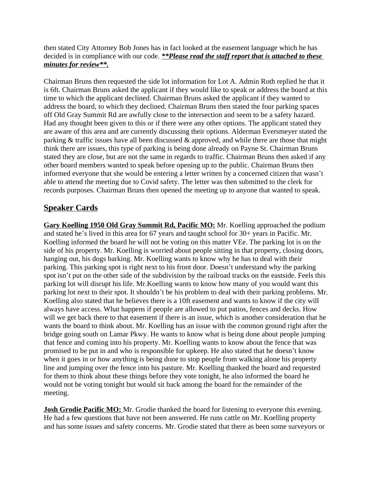then stated City Attorney Bob Jones has in fact looked at the easement language which he has decided is in compliance with our code. *\*\*Please read the staff report that is attached to these minutes for review\*\*.*

Chairman Bruns then requested the side lot information for Lot A. Admin Roth replied he that it is 6ft. Chairman Bruns asked the applicant if they would like to speak or address the board at this time to which the applicant declined. Chairman Bruns asked the applicant if they wanted to address the board, to which they declined. Chairman Bruns then stated the four parking spaces off Old Gray Summit Rd are awfully close to the intersection and seem to be a safety hazard. Had any thought been given to this or if there were any other options. The applicant stated they are aware of this area and are currently discussing their options. Alderman Eversmeyer stated the parking  $&$  traffic issues have all been discussed  $&$  approved, and while there are those that might think there are issues, this type of parking is being done already on Payne St. Chairman Bruns stated they are close, but are not the same in regards to traffic. Chairman Bruns then asked if any other board members wanted to speak before opening up to the public. Chairman Bruns then informed everyone that she would be entering a letter written by a concerned citizen that wasn't able to attend the meeting due to Covid safety. The letter was then submitted to the clerk for records purposes. Chairman Bruns then opened the meeting up to anyone that wanted to speak.

## **Speaker Cards**

**Gary Koelling 1950 Old Gray Summit Rd, Pacific MO:** Mr. Koelling approached the podium and stated he's lived in this area for 67 years and taught school for 30+ years in Pacific. Mr. Koelling informed the board he will not be voting on this matter VEe. The parking lot is on the side of his property. Mr. Koelling is worried about people sitting in that property, closing doors, hanging out, his dogs barking. Mr. Koelling wants to know why he has to deal with their parking. This parking spot is right next to his front door. Doesn't understand why the parking spot isn't put on the other side of the subdivision by the railroad tracks on the eastside. Feels this parking lot will disrupt his life. Mr.Koelling wants to know how many of you would want this parking lot next to their spot. It shouldn't be his problem to deal with their parking problems. Mr. Koelling also stated that he believes there is a 10ft easement and wants to know if the city will always have access. What happens if people are allowed to put patios, fences and decks. How will we get back there to that easement if there is an issue, which is another consideration that he wants the board to think about. Mr. Koelling has an issue with the common ground right after the bridge going south on Lamar Pkwy. He wants to know what is being done about people jumping that fence and coming into his property. Mr. Koelling wants to know about the fence that was promised to be put in and who is responsible for upkeep. He also stated that he doesn't know when it goes in or how anything is being done to stop people from walking alone his property line and jumping over the fence into his pasture. Mr. Koelling thanked the board and requested for them to think about these things before they vote tonight, he also informed the board he would not be voting tonight but would sit back among the board for the remainder of the meeting.

**Josh Grodie Pacific MO:** Mr. Grodie thanked the board for listening to everyone this evening. He had a few questions that have not been answered. He runs cattle on Mr. Koelling property and has some issues and safety concerns. Mr. Grodie stated that there as been some surveyors or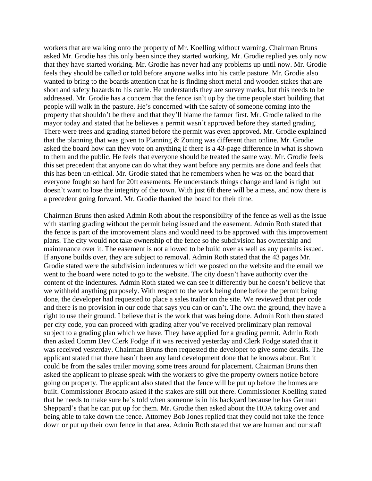workers that are walking onto the property of Mr. Koelling without warning. Chairman Bruns asked Mr. Grodie has this only been since they started working. Mr. Grodie replied yes only now that they have started working. Mr. Grodie has never had any problems up until now. Mr. Grodie feels they should be called or told before anyone walks into his cattle pasture. Mr. Grodie also wanted to bring to the boards attention that he is finding short metal and wooden stakes that are short and safety hazards to his cattle. He understands they are survey marks, but this needs to be addressed. Mr. Grodie has a concern that the fence isn't up by the time people start building that people will walk in the pasture. He's concerned with the safety of someone coming into the property that shouldn't be there and that they'll blame the farmer first. Mr. Grodie talked to the mayor today and stated that he believes a permit wasn't approved before they started grading. There were trees and grading started before the permit was even approved. Mr. Grodie explained that the planning that was given to Planning & Zoning was different than online. Mr. Grodie asked the board how can they vote on anything if there is a 43-page difference in what is shown to them and the public. He feels that everyone should be treated the same way. Mr. Grodie feels this set precedent that anyone can do what they want before any permits are done and feels that this has been un-ethical. Mr. Grodie stated that he remembers when he was on the board that everyone fought so hard for 20ft easements. He understands things change and land is tight but doesn't want to lose the integrity of the town. With just 6ft there will be a mess, and now there is a precedent going forward. Mr. Grodie thanked the board for their time.

Chairman Bruns then asked Admin Roth about the responsibility of the fence as well as the issue with starting grading without the permit being issued and the easement. Admin Roth stated that the fence is part of the improvement plans and would need to be approved with this improvement plans. The city would not take ownership of the fence so the subdivision has ownership and maintenance over it. The easement is not allowed to be build over as well as any permits issued. If anyone builds over, they are subject to removal. Admin Roth stated that the 43 pages Mr. Grodie stated were the subdivision indentures which we posted on the website and the email we went to the board were noted to go to the website. The city doesn't have authority over the content of the indentures. Admin Roth stated we can see it differently but he doesn't believe that we withheld anything purposely. With respect to the work being done before the permit being done, the developer had requested to place a sales trailer on the site. We reviewed that per code and there is no provision in our code that says you can or can't. The own the ground, they have a right to use their ground. I believe that is the work that was being done. Admin Roth then stated per city code, you can proceed with grading after you've received preliminary plan removal subject to a grading plan which we have. They have applied for a grading permit. Admin Roth then asked Comm Dev Clerk Fodge if it was received yesterday and Clerk Fodge stated that it was received yesterday. Chairman Bruns then requested the developer to give some details. The applicant stated that there hasn't been any land development done that he knows about. But it could be from the sales trailer moving some trees around for placement. Chairman Bruns then asked the applicant to please speak with the workers to give the property owners notice before going on property. The applicant also stated that the fence will be put up before the homes are built. Commissioner Brocato asked if the stakes are still out there. Commissioner Koelling stated that he needs to make sure he's told when someone is in his backyard because he has German Sheppard's that he can put up for them. Mr. Grodie then asked about the HOA taking over and being able to take down the fence. Attorney Bob Jones replied that they could not take the fence down or put up their own fence in that area. Admin Roth stated that we are human and our staff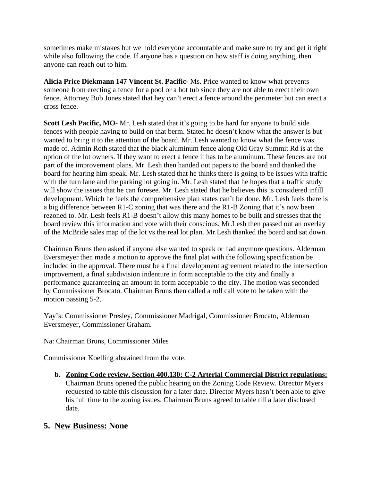sometimes make mistakes but we hold everyone accountable and make sure to try and get it right while also following the code. If anyone has a question on how staff is doing anything, then anyone can reach out to him.

**Alicia Price Diekmann 147 Vincent St. Pacific-** Ms. Price wanted to know what prevents someone from erecting a fence for a pool or a hot tub since they are not able to erect their own fence. Attorney Bob Jones stated that hey can't erect a fence around the perimeter but can erect a cross fence.

**Scott Lesh Pacific, MO-** Mr. Lesh stated that it's going to be hard for anyone to build side fences with people having to build on that berm. Stated he doesn't know what the answer is but wanted to bring it to the attention of the board. Mr. Lesh wanted to know what the fence was made of. Admin Roth stated that the black aluminum fence along Old Gray Summit Rd is at the option of the lot owners. If they want to erect a fence it has to be aluminum. These fences are not part of the improvement plans. Mr. Lesh then handed out papers to the board and thanked the board for hearing him speak. Mr. Lesh stated that he thinks there is going to be issues with traffic with the turn lane and the parking lot going in. Mr. Lesh stated that he hopes that a traffic study will show the issues that he can foresee. Mr. Lesh stated that he believes this is considered infill development. Which he feels the comprehensive plan states can't be done. Mr. Lesh feels there is a big difference between R1-C zoning that was there and the R1-B Zoning that it's now been rezoned to. Mr. Lesh feels R1-B doesn't allow this many homes to be built and stresses that the board review this information and vote with their conscious. Mr.Lesh then passed out an overlay of the McBride sales map of the lot vs the real lot plan. Mr.Lesh thanked the board and sat down.

Chairman Bruns then asked if anyone else wanted to speak or had anymore questions. Alderman Eversmeyer then made a motion to approve the final plat with the following specification be included in the approval. There must be a final development agreement related to the intersection improvement, a final subdivision indenture in form acceptable to the city and finally a performance guaranteeing an amount in form acceptable to the city. The motion was seconded by Commissioner Brocato. Chairman Bruns then called a roll call vote to be taken with the motion passing 5-2.

Yay's: Commissioner Presley, Commissioner Madrigal, Commissioner Brocato, Alderman Eversmeyer, Commissioner Graham.

Na: Chairman Bruns, Commissioner Miles

Commissioner Koelling abstained from the vote.

**b. Zoning Code review, Section 400.130: C-2 Arterial Commercial District regulations:** Chairman Bruns opened the public hearing on the Zoning Code Review. Director Myers requested to table this discussion for a later date. Director Myers hasn't been able to give his full time to the zoning issues. Chairman Bruns agreed to table till a later disclosed date.

## **5. New Business: None**